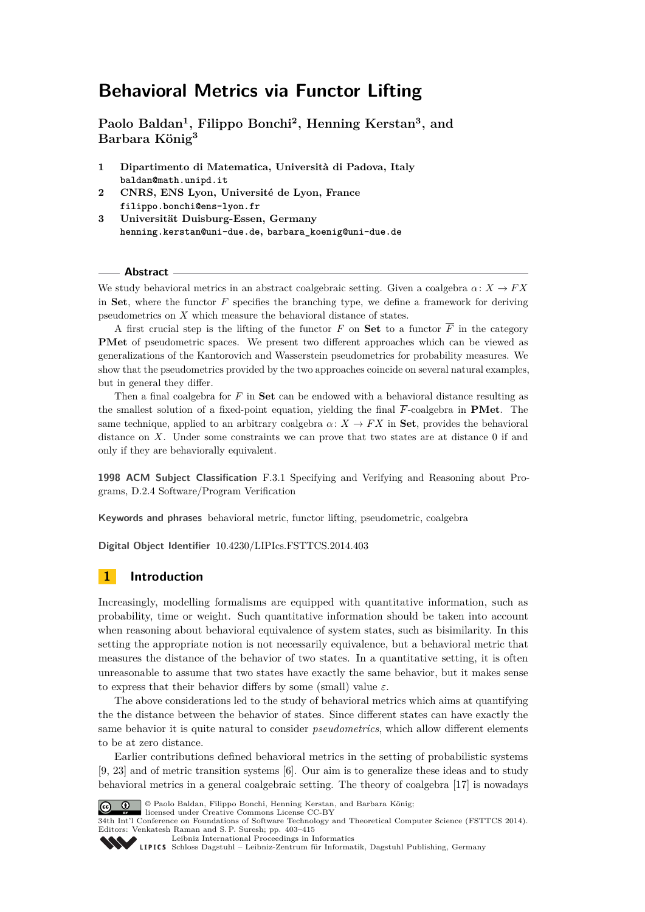**Paolo Baldan<sup>1</sup> , Filippo Bonchi<sup>2</sup> , Henning Kerstan<sup>3</sup> , and Barbara König<sup>3</sup>**

- **1 Dipartimento di Matematica, Università di Padova, Italy [baldan@math.unipd.it](mailto:baldan@math.unipd.it)**
- **2 CNRS, ENS Lyon, Université de Lyon, France [filippo.bonchi@ens-lyon.fr](mailto:filippo.bonchi@ens-lyon.fr)**
- **3 Universität Duisburg-Essen, Germany [henning.kerstan@uni-due.de](mailto:henning.kerstan@uni-due.de), [barbara\\_koenig@uni-due.de](mailto:barbara_koenig@uni-due.de)**

### **Abstract**

We study behavioral metrics in an abstract coalgebraic setting. Given a coalgebra  $\alpha: X \to FX$ in **Set**, where the functor *F* specifies the branching type, we define a framework for deriving pseudometrics on *X* which measure the behavioral distance of states.

A first crucial step is the lifting of the functor *F* on **Set** to a functor  $\overline{F}$  in the category **PMet** of pseudometric spaces. We present two different approaches which can be viewed as generalizations of the Kantorovich and Wasserstein pseudometrics for probability measures. We show that the pseudometrics provided by the two approaches coincide on several natural examples, but in general they differ.

Then a final coalgebra for *F* in **Set** can be endowed with a behavioral distance resulting as the smallest solution of a fixed-point equation, yielding the final  $\overline{F}$ -coalgebra in **PMet**. The same technique, applied to an arbitrary coalgebra  $\alpha: X \to FX$  in **Set**, provides the behavioral distance on *X*. Under some constraints we can prove that two states are at distance 0 if and only if they are behaviorally equivalent.

**1998 ACM Subject Classification** F.3.1 Specifying and Verifying and Reasoning about Programs, D.2.4 Software/Program Verification

**Keywords and phrases** behavioral metric, functor lifting, pseudometric, coalgebra

**Digital Object Identifier** [10.4230/LIPIcs.FSTTCS.2014.403](http://dx.doi.org/10.4230/LIPIcs.FSTTCS.2014.403)

# **1 Introduction**

Increasingly, modelling formalisms are equipped with quantitative information, such as probability, time or weight. Such quantitative information should be taken into account when reasoning about behavioral equivalence of system states, such as bisimilarity. In this setting the appropriate notion is not necessarily equivalence, but a behavioral metric that measures the distance of the behavior of two states. In a quantitative setting, it is often unreasonable to assume that two states have exactly the same behavior, but it makes sense to express that their behavior differs by some (small) value  $\varepsilon$ .

The above considerations led to the study of behavioral metrics which aims at quantifying the the distance between the behavior of states. Since different states can have exactly the same behavior it is quite natural to consider *pseudometrics*, which allow different elements to be at zero distance.

Earlier contributions defined behavioral metrics in the setting of probabilistic systems [\[9,](#page-11-0) [23\]](#page-12-0) and of metric transition systems [\[6\]](#page-11-1). Our aim is to generalize these ideas and to study behavioral metrics in a general coalgebraic setting. The theory of coalgebra [\[17\]](#page-11-2) is nowadays



© Paolo Baldan, Filippo Bonchi, Henning Kerstan, and Barbara König; licensed under Creative Commons License CC-BY

34th Int'l Conference on Foundations of Software Technology and Theoretical Computer Science (FSTTCS 2014). Editors: Venkatesh Raman and S. P. Suresh; pp. 403[–415](#page-12-1)

[Leibniz International Proceedings in Informatics](http://www.dagstuhl.de/lipics/)

Leibniz international riveredings in miximetrix<br>
LIPICS [Schloss Dagstuhl – Leibniz-Zentrum für Informatik, Dagstuhl Publishing, Germany](http://www.dagstuhl.de)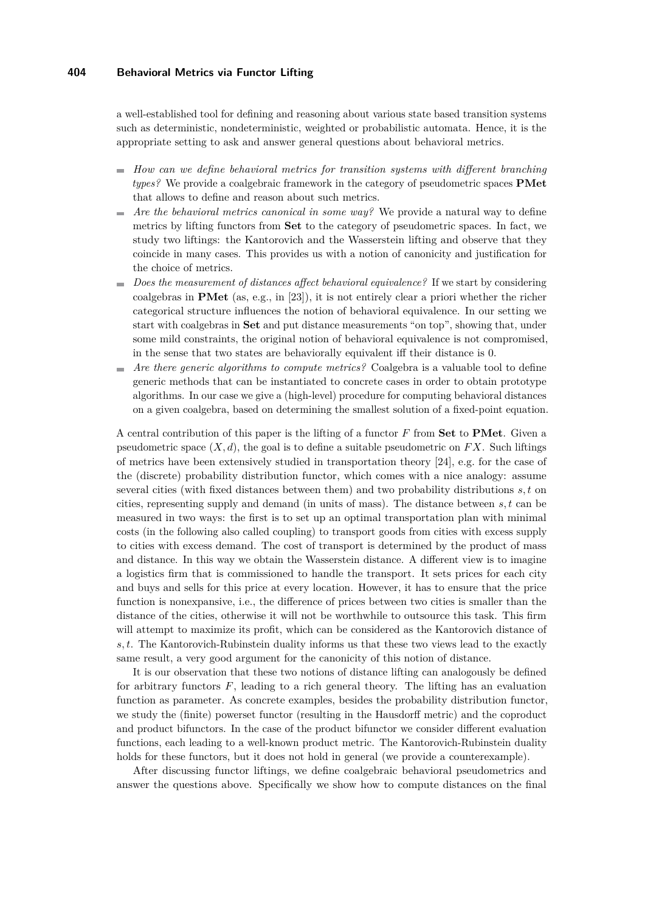a well-established tool for defining and reasoning about various state based transition systems such as deterministic, nondeterministic, weighted or probabilistic automata. Hence, it is the appropriate setting to ask and answer general questions about behavioral metrics.

- *How can we define behavioral metrics for transition systems with different branching types?* We provide a coalgebraic framework in the category of pseudometric spaces **PMet** that allows to define and reason about such metrics.
- *Are the behavioral metrics canonical in some way?* We provide a natural way to define m. metrics by lifting functors from **Set** to the category of pseudometric spaces. In fact, we study two liftings: the Kantorovich and the Wasserstein lifting and observe that they coincide in many cases. This provides us with a notion of canonicity and justification for the choice of metrics.
- *Does the measurement of distances affect behavioral equivalence?* If we start by considering coalgebras in **PMet** (as, e.g., in [\[23\]](#page-12-0)), it is not entirely clear a priori whether the richer categorical structure influences the notion of behavioral equivalence. In our setting we start with coalgebras in **Set** and put distance measurements "on top", showing that, under some mild constraints, the original notion of behavioral equivalence is not compromised, in the sense that two states are behaviorally equivalent iff their distance is 0.
- *Are there generic algorithms to compute metrics?* Coalgebra is a valuable tool to define generic methods that can be instantiated to concrete cases in order to obtain prototype algorithms. In our case we give a (high-level) procedure for computing behavioral distances on a given coalgebra, based on determining the smallest solution of a fixed-point equation.

A central contribution of this paper is the lifting of a functor *F* from **Set** to **PMet**. Given a pseudometric space  $(X, d)$ , the goal is to define a suitable pseudometric on  $FX$ . Such liftings of metrics have been extensively studied in transportation theory [\[24\]](#page-12-2), e.g. for the case of the (discrete) probability distribution functor, which comes with a nice analogy: assume several cities (with fixed distances between them) and two probability distributions *s, t* on cities, representing supply and demand (in units of mass). The distance between *s, t* can be measured in two ways: the first is to set up an optimal transportation plan with minimal costs (in the following also called coupling) to transport goods from cities with excess supply to cities with excess demand. The cost of transport is determined by the product of mass and distance. In this way we obtain the Wasserstein distance. A different view is to imagine a logistics firm that is commissioned to handle the transport. It sets prices for each city and buys and sells for this price at every location. However, it has to ensure that the price function is nonexpansive, i.e., the difference of prices between two cities is smaller than the distance of the cities, otherwise it will not be worthwhile to outsource this task. This firm will attempt to maximize its profit, which can be considered as the Kantorovich distance of *s, t*. The Kantorovich-Rubinstein duality informs us that these two views lead to the exactly same result, a very good argument for the canonicity of this notion of distance.

It is our observation that these two notions of distance lifting can analogously be defined for arbitrary functors *F*, leading to a rich general theory. The lifting has an evaluation function as parameter. As concrete examples, besides the probability distribution functor, we study the (finite) powerset functor (resulting in the Hausdorff metric) and the coproduct and product bifunctors. In the case of the product bifunctor we consider different evaluation functions, each leading to a well-known product metric. The Kantorovich-Rubinstein duality holds for these functors, but it does not hold in general (we provide a counterexample).

After discussing functor liftings, we define coalgebraic behavioral pseudometrics and answer the questions above. Specifically we show how to compute distances on the final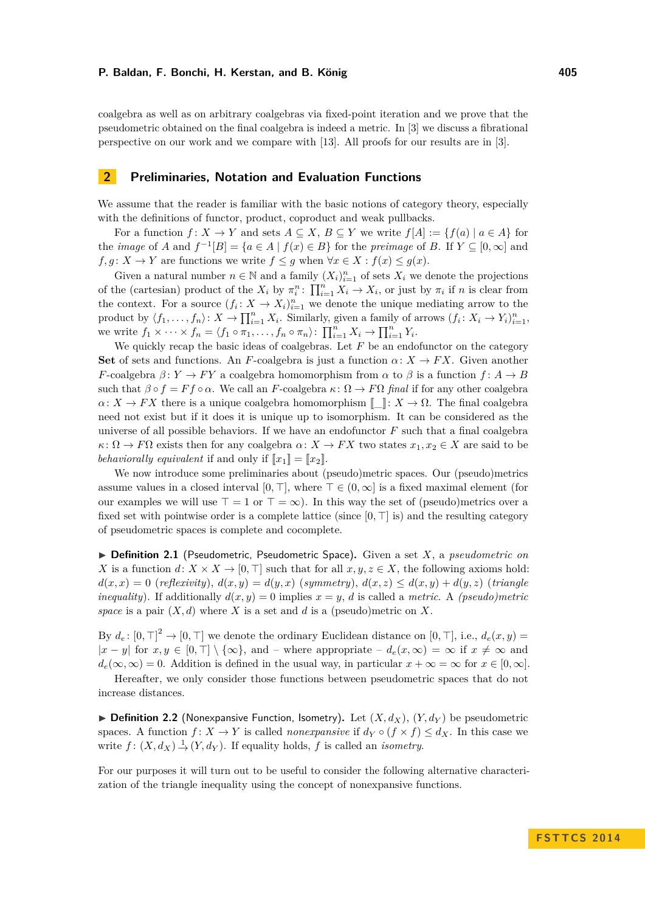coalgebra as well as on arbitrary coalgebras via fixed-point iteration and we prove that the pseudometric obtained on the final coalgebra is indeed a metric. In [\[3\]](#page-11-3) we discuss a fibrational perspective on our work and we compare with [\[13\]](#page-11-4). All proofs for our results are in [\[3\]](#page-11-3).

## **2 Preliminaries, Notation and Evaluation Functions**

We assume that the reader is familiar with the basic notions of category theory, especially with the definitions of functor, product, coproduct and weak pullbacks.

For a function  $f: X \to Y$  and sets  $A \subseteq X, B \subseteq Y$  we write  $f[A] := \{f(a) | a \in A\}$  for the *image* of *A* and  $f^{-1}[B] = \{a \in A \mid f(x) \in B\}$  for the *preimage* of *B*. If  $Y \subseteq [0, \infty]$  and *f, g* : *X*  $\rightarrow$  *Y* are functions we write *f*  $\leq$  *g* when  $\forall$ *x*  $\in$  *X* : *f*(*x*)  $\leq$  *g*(*x*).

Given a natural number  $n \in \mathbb{N}$  and a family  $(X_i)_{i=1}^n$  of sets  $X_i$  we denote the projections of the (cartesian) product of the  $X_i$  by  $\pi_i^n$ :  $\prod_{i=1}^n X_i \to X_i$ , or just by  $\pi_i$  if *n* is clear from the context. For a source  $(f_i: X \to X_i)_{i=1}^n$  we denote the unique mediating arrow to the product by  $\langle f_1, \ldots, f_n \rangle: X \to \prod_{i=1}^n X_i$ . Similarly, given a family of arrows  $(f_i: X_i \to Y_i)_{i=1}^n$ , we write  $f_1 \times \cdots \times f_n = \langle f_1 \circ \pi_1, \ldots, f_n \circ \pi_n \rangle: \prod_{i=1}^n X_i \to \prod_{i=1}^n Y_i$ .

We quickly recap the basic ideas of coalgebras. Let  $F$  be an endofunctor on the category **Set** of sets and functions. An *F*-coalgebra is just a function  $\alpha: X \to FX$ . Given another *F*-coalgebra  $\beta: Y \to FY$  a coalgebra homomorphism from  $\alpha$  to  $\beta$  is a function  $f: A \to B$ such that  $\beta \circ f = F f \circ \alpha$ . We call an *F*-coalgebra  $\kappa : \Omega \to F\Omega$  *final* if for any other coalgebra  $\alpha: X \to FX$  there is a unique coalgebra homomorphism  $[$   $]$ :  $X \to \Omega$ . The final coalgebra need not exist but if it does it is unique up to isomorphism. It can be considered as the universe of all possible behaviors. If we have an endofunctor *F* such that a final coalgebra *κ*:  $Ω → FΩ$  exists then for any coalgebra *α*:  $X → FX$  two states  $x_1, x_2 ∈ X$  are said to be *behaviorally equivalent* if and only if  $[[x_1]] = [[x_2]]$ .

We now introduce some preliminaries about (pseudo)metric spaces. Our (pseudo)metrics assume values in a closed interval  $[0, \top]$ , where  $\top \in (0, \infty]$  is a fixed maximal element (for our examples we will use  $\top = 1$  or  $\top = \infty$ ). In this way the set of (pseudo)metrics over a fixed set with pointwise order is a complete lattice (since  $[0, \top]$  is) and the resulting category of pseudometric spaces is complete and cocomplete.

▶ Definition 2.1 (Pseudometric, Pseudometric Space). Given a set *X*, a *pseudometric on X* is a function  $d: X \times X \to [0, \top]$  such that for all  $x, y, z \in X$ , the following axioms hold:  $d(x, x) = 0$  (*reflexivity*),  $d(x, y) = d(y, x)$  (*symmetry*),  $d(x, z) \leq d(x, y) + d(y, z)$  (*triangle inequality*). If additionally  $d(x, y) = 0$  implies  $x = y$ , *d* is called a *metric*. A *(pseudo)metric* space is a pair  $(X, d)$  where *X* is a set and *d* is a (pseudo)metric on *X*.

By  $d_e$ :  $[0, \top]^2 \to [0, \top]$  we denote the ordinary Euclidean distance on  $[0, \top]$ , i.e.,  $d_e(x, y) =$  $|x - y|$  for  $x, y \in [0, \top] \setminus \{\infty\}$ , and – where appropriate –  $d_e(x, \infty) = \infty$  if  $x \neq \infty$  and  $d_e(\infty, \infty) = 0$ . Addition is defined in the usual way, in particular  $x + \infty = \infty$  for  $x \in [0, \infty]$ .

Hereafter, we only consider those functions between pseudometric spaces that do not increase distances.

 $\blacktriangleright$  **Definition 2.2** (Nonexpansive Function, Isometry). Let  $(X, d_X)$ ,  $(Y, d_Y)$  be pseudometric spaces. A function  $f: X \to Y$  is called *nonexpansive* if  $d_Y \circ (f \times f) \leq d_X$ . In this case we write  $f: (X, d_X) \to (Y, d_Y)$ . If equality holds, *f* is called an *isometry*.

For our purposes it will turn out to be useful to consider the following alternative characterization of the triangle inequality using the concept of nonexpansive functions.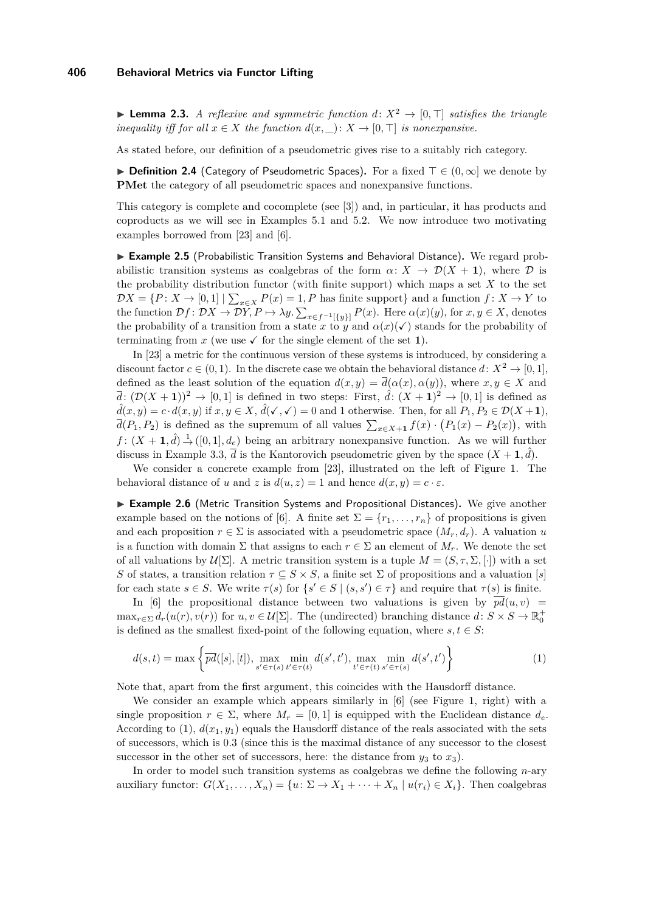**Lemma 2.3.** *A reflexive and symmetric function*  $d: X^2 \to [0, \top]$  *satisfies the triangle inequality iff for all*  $x \in X$  *the function*  $d(x, \_): X \to [0, \top]$  *is nonexpansive.* 

As stated before, our definition of a pseudometric gives rise to a suitably rich category.

**► Definition 2.4** (Category of Pseudometric Spaces). For a fixed  $\top \in (0, \infty]$  we denote by **PMet** the category of all pseudometric spaces and nonexpansive functions.

This category is complete and cocomplete (see [\[3\]](#page-11-3)) and, in particular, it has products and coproducts as we will see in Examples [5.1](#page-8-0) and [5.2.](#page-8-1) We now introduce two motivating examples borrowed from [\[23\]](#page-12-0) and [\[6\]](#page-11-1).

<span id="page-3-1"></span>► Example 2.5 (Probabilistic Transition Systems and Behavioral Distance). We regard probabilistic transition systems as coalgebras of the form  $\alpha \colon X \to \mathcal{D}(X + 1)$ , where  $\mathcal D$  is the probability distribution functor (with finite support) which maps a set *X* to the set  $\mathcal{D}X = \{P: X \to [0,1] \mid \sum_{x \in X} P(x) = 1, P \text{ has finite support}\}\$ and a function  $f: X \to Y$  to the function  $\mathcal{D}f: \mathcal{D}X \to \mathcal{D}Y, P \mapsto \lambda y. \sum_{x \in f^{-1}[\{y\}]} P(x)$ . Here  $\alpha(x)(y)$ , for  $x, y \in X$ , denotes the probability of a transition from a state *x* to *y* and  $\alpha(x)(\checkmark)$  stands for the probability of terminating from x (we use  $\checkmark$  for the single element of the set 1).

In [\[23\]](#page-12-0) a metric for the continuous version of these systems is introduced, by considering a discount factor  $c \in (0, 1)$ . In the discrete case we obtain the behavioral distance  $d: X^2 \to [0, 1]$ , defined as the least solution of the equation  $d(x, y) = \overline{d}(\alpha(x), \alpha(y))$ , where  $x, y \in X$  and  $\overline{d}$ :  $(\mathcal{D}(X + 1))^2 \rightarrow [0, 1]$  is defined in two steps: First,  $\hat{d}$ :  $(X + 1)^2 \rightarrow [0, 1]$  is defined as  $\hat{d}(x, y) = c \cdot d(x, y)$  if  $x, y \in X$ ,  $\hat{d}(\checkmark, \checkmark) = 0$  and 1 otherwise. Then, for all  $P_1, P_2 \in \mathcal{D}(X + 1)$ ,  $\overline{d}(P_1, P_2)$  is defined as the supremum of all values  $\sum_{x \in X+1} f(x) \cdot (P_1(x) - P_2(x))$ , with  $f: (X + 1, \hat{d}) \stackrel{1}{\rightarrow} ([0, 1], d_e)$  being an arbitrary nonexpansive function. As we will further discuss in [Example 3.3,](#page-5-0)  $\overline{d}$  is the Kantorovich pseudometric given by the space  $(X + 1, \hat{d})$ .

We consider a concrete example from [\[23\]](#page-12-0), illustrated on the left of [Figure 1.](#page-4-0) The behavioral distance of *u* and *z* is  $d(u, z) = 1$  and hence  $d(x, y) = c \cdot \varepsilon$ .

<span id="page-3-2"></span>► Example 2.6 (Metric Transition Systems and Propositional Distances). We give another example based on the notions of [\[6\]](#page-11-1). A finite set  $\Sigma = \{r_1, \ldots, r_n\}$  of propositions is given and each proposition  $r \in \Sigma$  is associated with a pseudometric space  $(M_r, d_r)$ . A valuation *u* is a function with domain  $\Sigma$  that assigns to each  $r \in \Sigma$  an element of  $M_r$ . We denote the set of all valuations by  $\mathcal{U}[\Sigma]$ . A metric transition system is a tuple  $M = (S, \tau, \Sigma, [\cdot])$  with a set *S* of states, a transition relation  $\tau \subseteq S \times S$ , a finite set  $\Sigma$  of propositions and a valuation [*s*] for each state  $s \in S$ . We write  $\tau(s)$  for  $\{s' \in S \mid (s, s') \in \tau\}$  and require that  $\tau(s)$  is finite.

In [\[6\]](#page-11-1) the propositional distance between two valuations is given by  $p\bar{d}(u, v)$  =  $\max_{r \in \Sigma} d_r(u(r), v(r))$  for  $u, v \in \mathcal{U}[\Sigma]$ . The (undirected) branching distance  $d: S \times S \to \mathbb{R}_0^+$ is defined as the smallest fixed-point of the following equation, where  $s, t \in S$ :

<span id="page-3-0"></span>
$$
d(s,t) = \max \left\{ \overline{pd}([s],[t]), \max_{s' \in \tau(s)} \min_{t' \in \tau(t)} d(s',t'), \max_{t' \in \tau(t)} \min_{s' \in \tau(s)} d(s',t') \right\}
$$
(1)

Note that, apart from the first argument, this coincides with the Hausdorff distance.

We consider an example which appears similarly in [\[6\]](#page-11-1) (see Figure [1,](#page-4-0) right) with a single proposition  $r \in \Sigma$ , where  $M_r = [0, 1]$  is equipped with the Euclidean distance  $d_e$ . According to [\(1\)](#page-3-0),  $d(x_1, y_1)$  equals the Hausdorff distance of the reals associated with the sets of successors, which is 0*.*3 (since this is the maximal distance of any successor to the closest successor in the other set of successors, here: the distance from  $y_3$  to  $x_3$ ).

In order to model such transition systems as coalgebras we define the following *n*-ary auxiliary functor:  $G(X_1, \ldots, X_n) = \{u : \Sigma \to X_1 + \cdots + X_n \mid u(r_i) \in X_i\}$ . Then coalgebras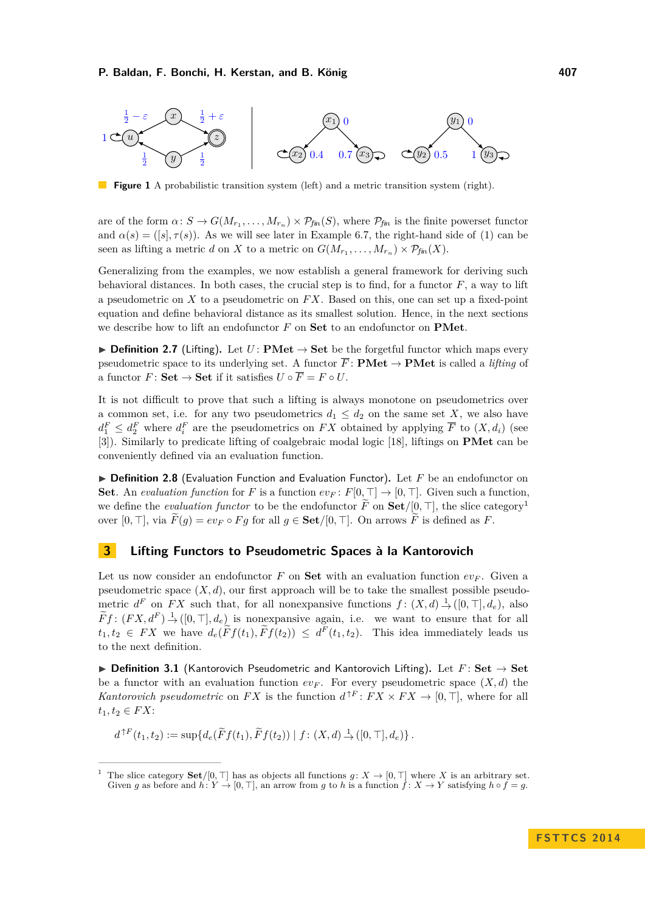<span id="page-4-0"></span>

**Figure 1** A probabilistic transition system (left) and a metric transition system (right).

are of the form  $\alpha: S \to G(M_{r_1}, \ldots, M_{r_n}) \times \mathcal{P}_{\text{fin}}(S)$ , where  $\mathcal{P}_{\text{fin}}$  is the finite powerset functor and  $\alpha(s) = (\lceil s \rceil, \tau(s))$ . As we will see later in [Example 6.7,](#page-10-0) the right-hand side of [\(1\)](#page-3-0) can be seen as lifting a metric *d* on *X* to a metric on  $G(M_{r_1}, \ldots, M_{r_n}) \times \mathcal{P}_{fin}(X)$ .

Generalizing from the examples, we now establish a general framework for deriving such behavioral distances. In both cases, the crucial step is to find, for a functor *F*, a way to lift a pseudometric on *X* to a pseudometric on *F X*. Based on this, one can set up a fixed-point equation and define behavioral distance as its smallest solution. Hence, in the next sections we describe how to lift an endofunctor *F* on **Set** to an endofunctor on **PMet**.

<span id="page-4-3"></span>**► Definition 2.7** (Lifting). Let *U*: **PMet**  $\rightarrow$  **Set** be the forgetful functor which maps every pseudometric space to its underlying set. A functor  $\overline{F}$ : **PMet**  $\rightarrow$  **PMet** is called a *lifting* of a functor  $F:$  **Set**  $\rightarrow$  **Set** if it satisfies  $U \circ \overline{F} = F \circ U$ .

It is not difficult to prove that such a lifting is always monotone on pseudometrics over a common set, i.e. for any two pseudometrics  $d_1 \leq d_2$  on the same set X, we also have  $d_1^F \leq d_2^F$  where  $d_i^F$  are the pseudometrics on *FX* obtained by applying  $\overline{F}$  to  $(X, d_i)$  (see [\[3\]](#page-11-3)). Similarly to predicate lifting of coalgebraic modal logic [\[18\]](#page-11-5), liftings on **PMet** can be conveniently defined via an evaluation function.

▶ Definition 2.8 (Evaluation Function and Evaluation Functor). Let *F* be an endofunctor on **Set**. An *evaluation function* for *F* is a function  $ev_F: F[0, \top] \to [0, \top]$ . Given such a function, we define the *evaluation functor* to be the endofunctor  $\tilde{F}$  on  $\mathbf{Set}/[0, \top]$ , the slice category<sup>[1](#page-4-1)</sup> over  $[0, \top]$ , via  $\widetilde{F}(g) = ev_F \circ Fg$  for all  $g \in \mathbf{Set}/[0, \top]$ . On arrows  $\widetilde{F}$  is defined as *F*.

# **3 Lifting Functors to Pseudometric Spaces à la Kantorovich**

Let us now consider an endofunctor F on **Set** with an evaluation function  $ev_F$ . Given a pseudometric space  $(X, d)$ , our first approach will be to take the smallest possible pseudometric  $d^F$  on *FX* such that, for all nonexpansive functions  $f: (X, d) \rightarrow (0, \top], d_e$ , also  $\widetilde{F}f: (FX, d^F) \stackrel{1}{\rightarrow} ([0, \top], d_e)$  is nonexpansive again, i.e. we want to ensure that for all  $t_1, t_2 \in FX$  we have  $d_e(\tilde{F}f(t_1), \tilde{F}f(t_2)) \leq d^F(t_1, t_2)$ . This idea immediately leads us to the next definition.

<span id="page-4-2"></span>I **Definition 3.1** (Kantorovich Pseudometric and Kantorovich Lifting)**.** Let *F* : **Set** → **Set** be a functor with an evaluation function  $ev_F$ . For every pseudometric space  $(X, d)$  the *Kantorovich pseudometric* on *FX* is the function  $d^{\uparrow F}: FX \times FX \to [0, \top]$ , where for all  $t_1, t_2 ∈ FX:$ 

$$
d^{\uparrow F}(t_1, t_2) := \sup \{ d_e(\widetilde{F}f(t_1), \widetilde{F}f(t_2)) | f: (X, d) \to ([0, \top], d_e) \}.
$$

<span id="page-4-1"></span>The slice category **Set**/[0,  $\top$ ] has as objects all functions *q*:  $X \to [0, \top]$  where *X* is an arbitrary set. Given *g* as before and  $h: Y \to [0, \top]$ , an arrow from *g* to *h* is a function  $\hat{f}: X \to Y$  satisfying  $h \circ \hat{f} = g$ .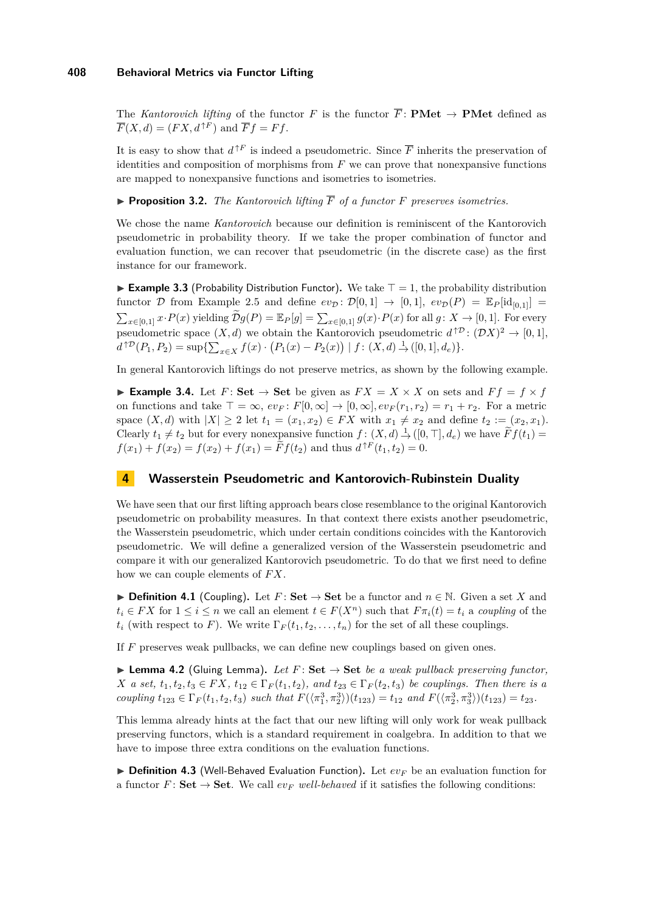The *Kantorovich lifting* of the functor *F* is the functor  $\overline{F}$ : **PMet**  $\rightarrow$  **PMet** defined as  $\overline{F}(X, d) = (FX, d^{\uparrow F})$  and  $\overline{F}f = Ff$ .

It is easy to show that  $d^{\uparrow F}$  is indeed a pseudometric. Since  $\overline{F}$  inherits the preservation of identities and composition of morphisms from *F* we can prove that nonexpansive functions are mapped to nonexpansive functions and isometries to isometries.

**Proposition 3.2.** *The Kantorovich lifting*  $\overline{F}$  *of a functor*  $F$  *preserves isometries.* 

We chose the name *Kantorovich* because our definition is reminiscent of the Kantorovich pseudometric in probability theory. If we take the proper combination of functor and evaluation function, we can recover that pseudometric (in the discrete case) as the first instance for our framework.

<span id="page-5-0"></span>**Example 3.3** (Probability Distribution Functor). We take  $T = 1$ , the probability distribution functor D from [Example 2.5](#page-3-1) and define  $ev_{\mathcal{D}} \colon \mathcal{D}[0,1] \to [0,1], ev_{\mathcal{D}}(P) = \mathbb{E}_P[\mathrm{id}_{[0,1]}] =$  $\sum_{x \in [0,1]} x \cdot P(x)$  yielding  $\widetilde{\mathcal{D}}g(P) = \mathbb{E}_P[g] = \sum_{x \in [0,1]} g(x) \cdot P(x)$  for all  $g \colon X \to [0,1]$ . For every pseudometric space  $(X, d)$  we obtain the Kantorovich pseudometric  $d^{\uparrow \mathcal{D}} : (\mathcal{D}X)^2 \to [0, 1],$  $d^{\uparrow \mathcal{D}}(P_1, P_2) = \sup \{ \sum_{x \in X} f(x) \cdot (P_1(x) - P_2(x)) \mid f: (X, d) \stackrel{1}{\to} ([0, 1], d_e) \}.$ 

In general Kantorovich liftings do not preserve metrics, as shown by the following example.

<span id="page-5-2"></span>► **Example 3.4.** Let  $F:$  Set  $\rightarrow$  Set be given as  $FX = X \times X$  on sets and  $Ff = f \times f$ on functions and take  $\top = \infty$ ,  $ev_F : F[0, \infty] \to [0, \infty]$ ,  $ev_F(r_1, r_2) = r_1 + r_2$ . For a metric space  $(X, d)$  with  $|X| \geq 2$  let  $t_1 = (x_1, x_2) \in FX$  with  $x_1 \neq x_2$  and define  $t_2 := (x_2, x_1)$ . Clearly  $t_1 \neq t_2$  but for every nonexpansive function  $f : (X, d) \to ([0, \top], d_e)$  we have  $\widetilde{F}f(t_1) =$  $f(x_1) + f(x_2) = f(x_2) + f(x_1) = \tilde{F}f(t_2)$  and thus  $d^{\uparrow F}(t_1, t_2) = 0$ .

### **4 Wasserstein Pseudometric and Kantorovich-Rubinstein Duality**

We have seen that our first lifting approach bears close resemblance to the original Kantorovich pseudometric on probability measures. In that context there exists another pseudometric, the Wasserstein pseudometric, which under certain conditions coincides with the Kantorovich pseudometric. We will define a generalized version of the Wasserstein pseudometric and compare it with our generalized Kantorovich pseudometric. To do that we first need to define how we can couple elements of *F X*.

<span id="page-5-4"></span>▶ **Definition 4.1** (Coupling). Let  $F:$  Set  $\rightarrow$  Set be a functor and  $n \in \mathbb{N}$ . Given a set *X* and  $t_i \in FX$  for  $1 \leq i \leq n$  we call an element  $t \in F(X^n)$  such that  $F \pi_i(t) = t_i$  a *coupling* of the  $t_i$  (with respect to *F*). We write  $\Gamma_F(t_1, t_2, \ldots, t_n)$  for the set of all these couplings.

If *F* preserves weak pullbacks, we can define new couplings based on given ones.

<span id="page-5-1"></span> $\triangleright$  **Lemma 4.2** (Gluing Lemma). Let  $F:$  Set  $\rightarrow$  Set be a weak pullback preserving functor, *X a set,*  $t_1, t_2, t_3 \in FX$ ,  $t_{12} \in \Gamma_F(t_1, t_2)$ *, and*  $t_{23} \in \Gamma_F(t_2, t_3)$  *be couplings. Then there is a* coupling  $t_{123} \in \Gamma_F(t_1, t_2, t_3)$  such that  $F(\langle \pi_1^3, \pi_2^3 \rangle)(t_{123}) = t_{12}$  and  $F(\langle \pi_2^3, \pi_3^3 \rangle)(t_{123}) = t_{23}$ .

This lemma already hints at the fact that our new lifting will only work for weak pullback preserving functors, which is a standard requirement in coalgebra. In addition to that we have to impose three extra conditions on the evaluation functions.

<span id="page-5-3"></span> $\triangleright$  **Definition 4.3** (Well-Behaved Evaluation Function). Let  $ev_F$  be an evaluation function for a functor  $F:$  **Set**  $\rightarrow$  **Set**. We call  $ev_F$  *well-behaved* if it satisfies the following conditions: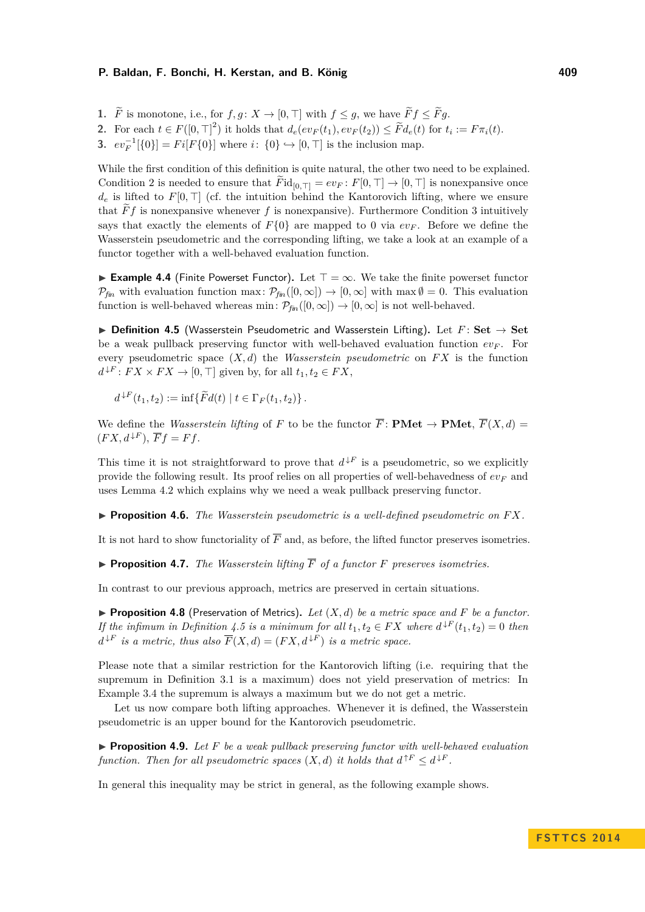- **1.**  $\widetilde{F}$  is monotone, i.e., for  $f, g: X \to [0, \top]$  with  $f \leq g$ , we have  $\widetilde{F}f \leq \widetilde{F}g$ .
- 2. For each  $t \in F([0, \top]^2)$  it holds that  $d_e(ev_F(t_1), ev_F(t_2)) \leq \widetilde{F}d_e(t)$  for  $t_i := F\pi_i(t)$ .
- **3.**  $ev_F^{-1}[\{0\}] = Fi[F\{0\}]$  where  $i: \{0\} \hookrightarrow [0, \top]$  is the inclusion map.

While the first condition of this definition is quite natural, the other two need to be explained. Condition 2 is needed to ensure that  $\overline{F}$ id<sub>[0, $\top$ ] =  $ev_F$ :  $F[0, \top] \rightarrow [0, \top]$  is nonexpansive once</sub>  $d_e$  is lifted to  $F[0, \top]$  (cf. the intuition behind the Kantorovich lifting, where we ensure that  $\widetilde{F}f$  is nonexpansive whenever f is nonexpansive). Furthermore Condition 3 intuitively says that exactly the elements of  $F\{0\}$  are mapped to 0 via  $ev_F$ . Before we define the Wasserstein pseudometric and the corresponding lifting, we take a look at an example of a functor together with a well-behaved evaluation function.

<span id="page-6-2"></span>**Example 4.4** (Finite Powerset Functor). Let  $\top = \infty$ . We take the finite powerset functor  $P_{fin}$  with evaluation function max:  $P_{fin}([0,\infty]) \to [0,\infty]$  with max  $\emptyset = 0$ . This evaluation function is well-behaved whereas min:  $\mathcal{P}_{\text{fin}}([0,\infty]) \to [0,\infty]$  is not well-behaved.

<span id="page-6-0"></span>**▶** Definition 4.5 (Wasserstein Pseudometric and Wasserstein Lifting). Let  $F$ : Set  $\rightarrow$  Set be a weak pullback preserving functor with well-behaved evaluation function  $ev_F$ . For every pseudometric space  $(X, d)$  the *Wasserstein pseudometric* on  $FX$  is the function  $d^{\downarrow F}$ :  $FX \times FX \rightarrow [0, \top]$  given by, for all  $t_1, t_2 \in FX$ ,

 $d^{\downarrow F}(t_1, t_2) := \inf \{ \widetilde{F} d(t) \mid t \in \Gamma_F(t_1, t_2) \}.$ 

We define the *Wasserstein lifting* of *F* to be the functor  $\overline{F}$ : **PMet**  $\rightarrow$  **PMet**,  $\overline{F}(X, d)$  =  $(FX, d^{\downarrow F}), \overline{F}f = Ff.$ 

This time it is not straightforward to prove that  $d^{\downarrow F}$  is a pseudometric, so we explicitly provide the following result. Its proof relies on all properties of well-behavedness of *ev<sup>F</sup>* and uses [Lemma 4.2](#page-5-1) which explains why we need a weak pullback preserving functor.

I **Proposition 4.6.** *The Wasserstein pseudometric is a well-defined pseudometric on F X.*

It is not hard to show functoriality of  $\overline{F}$  and, as before, the lifted functor preserves isometries.

**Proposition 4.7.** *The Wasserstein lifting*  $\overline{F}$  *of a functor*  $F$  *preserves isometries.* 

In contrast to our previous approach, metrics are preserved in certain situations.

<span id="page-6-3"></span>**Proposition 4.8** (Preservation of Metrics). Let  $(X, d)$  be a metric space and F be a functor. *If the infimum in [Definition 4.5](#page-6-0) is a minimum for all*  $t_1, t_2 \in FX$  *where*  $d^{\downarrow F}(t_1, t_2) = 0$  *then*  $d^{\downarrow F}$  *is a metric, thus also*  $\overline{F}(X, d) = (FX, d^{\downarrow F})$  *is a metric space.* 

Please note that a similar restriction for the Kantorovich lifting (i.e. requiring that the supremum in [Definition 3.1](#page-4-2) is a maximum) does not yield preservation of metrics: In [Example 3.4](#page-5-2) the supremum is always a maximum but we do not get a metric.

Let us now compare both lifting approaches. Whenever it is defined, the Wasserstein pseudometric is an upper bound for the Kantorovich pseudometric.

<span id="page-6-1"></span> $\blacktriangleright$  **Proposition 4.9.** Let F be a weak pullback preserving functor with well-behaved evaluation *function. Then for all pseudometric spaces*  $(X, d)$  *it holds that*  $d^{\uparrow F} \leq d^{\downarrow F}$ .

In general this inequality may be strict in general, as the following example shows.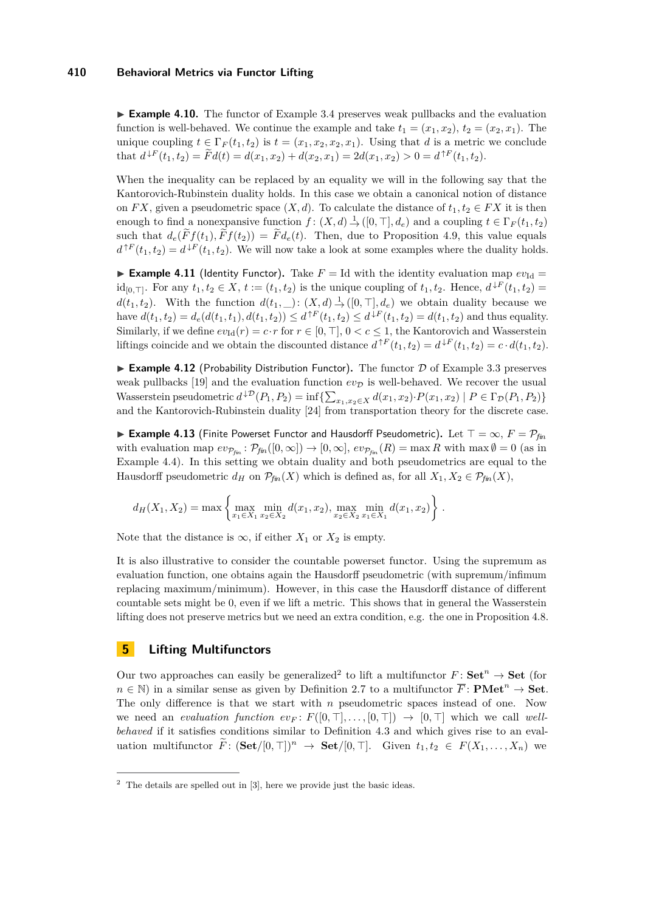► **Example 4.10.** The functor of [Example 3.4](#page-5-2) preserves weak pullbacks and the evaluation function is well-behaved. We continue the example and take  $t_1 = (x_1, x_2), t_2 = (x_2, x_1)$ . The unique coupling  $t \in \Gamma_F(t_1, t_2)$  is  $t = (x_1, x_2, x_2, x_1)$ . Using that *d* is a metric we conclude that  $d^{\downarrow F}(t_1, t_2) = \tilde{F}d(t) = d(x_1, x_2) + d(x_2, x_1) = 2d(x_1, x_2) > 0 = d^{\uparrow F}(t_1, t_2).$ 

When the inequality can be replaced by an equality we will in the following say that the Kantorovich-Rubinstein duality holds. In this case we obtain a canonical notion of distance on *FX*, given a pseudometric space  $(X, d)$ . To calculate the distance of  $t_1, t_2 \in FX$  it is then enough to find a nonexpansive function  $f: (X, d) \rightarrow (0, \top], d_e$  and a coupling  $t \in \Gamma_F(t_1, t_2)$ such that  $d_e(\widetilde{F}f(t_1), \widetilde{F}f(t_2)) = \widetilde{F}d_e(t)$ . Then, due to [Proposition 4.9,](#page-6-1) this value equals  $d^{\uparrow F}(t_1, t_2) = d^{\downarrow F}(t_1, t_2)$ . We will now take a look at some examples where the duality holds.

<span id="page-7-1"></span>**Example 4.11** (Identity Functor). Take  $F = Id$  with the identity evaluation map  $ev_{Id} =$  $id_{[0,1]}$ . For any  $t_1, t_2 \in X$ ,  $t := (t_1, t_2)$  is the unique coupling of  $t_1, t_2$ . Hence,  $d^{\downarrow F}(t_1, t_2) =$  $d(t_1, t_2)$ . With the function  $d(t_1, \_)$ :  $(X, d) \stackrel{1}{\rightarrow} ([0, \top], d_e)$  we obtain duality because we have  $d(t_1, t_2) = d_e(d(t_1, t_1), d(t_1, t_2)) \leq d^{\uparrow F}(t_1, t_2) \leq d^{\downarrow F}(t_1, t_2) = d(t_1, t_2)$  and thus equality. Similarly, if we define  $ev_{Id}(r) = c \cdot r$  for  $r \in [0, \top], 0 < c \leq 1$ , the Kantorovich and Wasserstein liftings coincide and we obtain the discounted distance  $d^{\uparrow F}(t_1, t_2) = d^{\downarrow F}(t_1, t_2) = c \cdot d(t_1, t_2)$ .

**Example 4.12** (Probability Distribution Functor). The functor  $D$  of [Example 3.3](#page-5-0) preserves weak pullbacks [\[19\]](#page-11-6) and the evaluation function  $ev_{\mathcal{D}}$  is well-behaved. We recover the usual Wasserstein pseudometric  $d^{D}(P_1, P_2) = \inf \{ \sum_{x_1, x_2 \in X} d(x_1, x_2) \cdot P(x_1, x_2) \mid P \in \Gamma_{\mathcal{D}}(P_1, P_2) \}$ and the Kantorovich-Rubinstein duality [\[24\]](#page-12-2) from transportation theory for the discrete case.

<span id="page-7-2"></span>**► Example 4.13** (Finite Powerset Functor and Hausdorff Pseudometric). Let  $\top = \infty$ ,  $F = \mathcal{P}_{\text{fin}}$ with evaluation map  $ev_{\mathcal{P}_{fin}}: \mathcal{P}_{fin}([0,\infty]) \to [0,\infty], ev_{\mathcal{P}_{fin}}(R) = \max R$  with  $\max \emptyset = 0$  (as in [Example 4.4\)](#page-6-2). In this setting we obtain duality and both pseudometrics are equal to the Hausdorff pseudometric  $d_H$  on  $\mathcal{P}_{fin}(X)$  which is defined as, for all  $X_1, X_2 \in \mathcal{P}_{fin}(X)$ ,

$$
d_H(X_1, X_2) = \max \left\{ \max_{x_1 \in X_1} \min_{x_2 \in X_2} d(x_1, x_2), \max_{x_2 \in X_2} \min_{x_1 \in X_1} d(x_1, x_2) \right\}.
$$

Note that the distance is  $\infty$ , if either  $X_1$  or  $X_2$  is empty.

It is also illustrative to consider the countable powerset functor. Using the supremum as evaluation function, one obtains again the Hausdorff pseudometric (with supremum/infimum replacing maximum/minimum). However, in this case the Hausdorff distance of different countable sets might be 0, even if we lift a metric. This shows that in general the Wasserstein lifting does not preserve metrics but we need an extra condition, e.g. the one in [Proposition 4.8.](#page-6-3)

# **5 Lifting Multifunctors**

Our two approaches can easily be generalized<sup>[2](#page-7-0)</sup> to lift a multifunctor  $F: Set^{n} \rightarrow Set$  (for  $n \in \mathbb{N}$ ) in a similar sense as given by [Definition 2.7](#page-4-3) to a multifunctor  $\overline{F}$ : **PMet**<sup>*n*</sup>  $\rightarrow$  **Set**. The only difference is that we start with *n* pseudometric spaces instead of one. Now we need an *evaluation function*  $ev_F: F([0, T], \ldots, [0, T]) \rightarrow [0, T]$  which we call *wellbehaved* if it satisfies conditions similar to [Definition 4.3](#page-5-3) and which gives rise to an evaluation multifunctor  $\tilde{F}: (\mathbf{Set}/[0, \top])^n \to \mathbf{Set}/[0, \top]$ . Given  $t_1, t_2 \in F(X_1, \ldots, X_n)$  we

<span id="page-7-0"></span> $2$  The details are spelled out in [\[3\]](#page-11-3), here we provide just the basic ideas.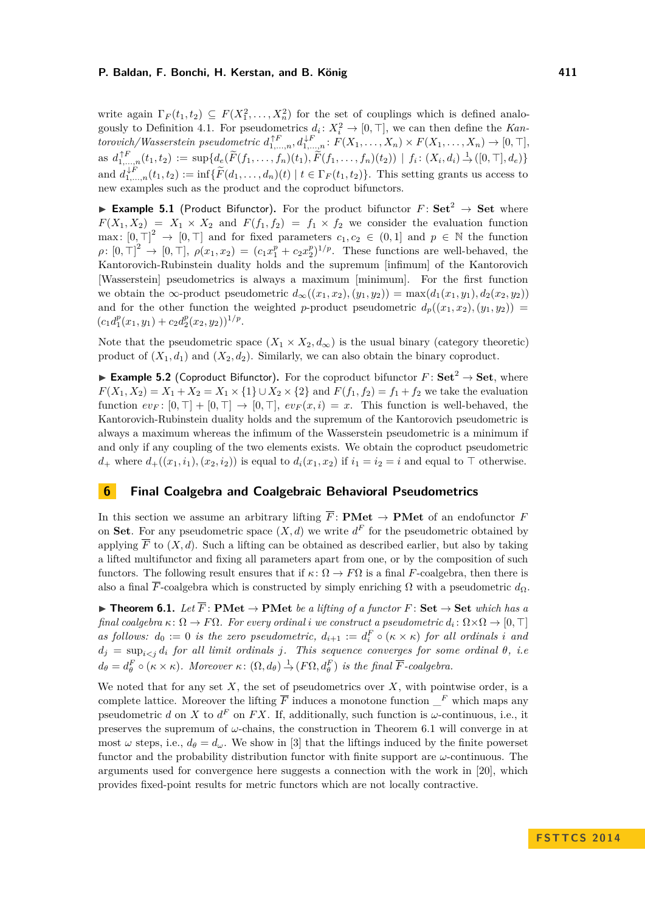write again  $\Gamma_F(t_1, t_2) \subseteq F(X_1^2, \ldots, X_n^2)$  for the set of couplings which is defined analo- $1, \ldots, \Lambda_n$ gously to [Definition 4.1.](#page-5-4) For pseudometrics  $d_i: X_i^2 \to [0, \top]$ , we can then define the *Kan* $t$ *torovich/Wasserstein pseudometric*  $d_{1,...,n}^{\uparrow F}, d_{1,...,n}^{\downarrow F}$ :  $F(X_1,...,X_n) \times F(X_1,...,X_n) \to [0, \top],$ as  $d_{1,...,n}^{\uparrow F}(t_1,t_2) := \sup \{ d_e(\widetilde{F}(f_1,...,f_n)(t_1), \widetilde{F}(f_1,...,f_n)(t_2)) \mid f_i \colon (X_i,d_i) \to ([0,\top],d_e) \}$ and  $d_{1,\dots,n}^{\downarrow F}(t_1,t_2) := \inf \{ \widetilde{F}(d_1,\dots,d_n)(t) \mid t \in \Gamma_F(t_1,t_2) \}$ . This setting grants us access to new examples such as the product and the coproduct bifunctors.

<span id="page-8-0"></span>▶ **Example 5.1** (Product Bifunctor). For the product bifunctor  $F:$  Set<sup>2</sup> → Set where  $F(X_1, X_2) = X_1 \times X_2$  and  $F(f_1, f_2) = f_1 \times f_2$  we consider the evaluation function max:  $[0, \top]^2 \rightarrow [0, \top]$  and for fixed parameters  $c_1, c_2 \in (0, 1]$  and  $p \in \mathbb{N}$  the function  $\rho: [0, \top]^2 \to [0, \top], \ \rho(x_1, x_2) = (c_1 x_1^p + c_2 x_2^p)^{1/p}$ . These functions are well-behaved, the Kantorovich-Rubinstein duality holds and the supremum [infimum] of the Kantorovich [Wasserstein] pseudometrics is always a maximum [minimum]. For the first function we obtain the ∞-product pseudometric  $d_{\infty}((x_1, x_2), (y_1, y_2)) = \max(d_1(x_1, y_1), d_2(x_2, y_2))$ and for the other function the weighted *p*-product pseudometric  $d_p((x_1, x_2), (y_1, y_2))$  =  $(c_1 d_1^p(x_1, y_1) + c_2 d_2^p(x_2, y_2))^{1/p}.$ 

Note that the pseudometric space  $(X_1 \times X_2, d_\infty)$  is the usual binary (category theoretic) product of  $(X_1, d_1)$  and  $(X_2, d_2)$ . Similarly, we can also obtain the binary coproduct.

<span id="page-8-1"></span>▶ **Example 5.2** (Coproduct Bifunctor). For the coproduct bifunctor  $F:$  Set<sup>2</sup> → Set, where *F*(*X*<sub>1</sub>*, X*<sub>2</sub>) = *X*<sub>1</sub> + *X*<sub>2</sub> = *X*<sub>1</sub> × {1} ∪ *X*<sub>2</sub> × {2} and *F*(*f*<sub>1</sub>*, f*<sub>2</sub>) = *f*<sub>1</sub> + *f*<sub>2</sub> we take the evaluation function  $ev_F$ :  $[0, \top]$  +  $[0, \top]$   $\rightarrow$   $[0, \top]$ ,  $ev_F(x, i) = x$ . This function is well-behaved, the Kantorovich-Rubinstein duality holds and the supremum of the Kantorovich pseudometric is always a maximum whereas the infimum of the Wasserstein pseudometric is a minimum if and only if any coupling of the two elements exists. We obtain the coproduct pseudometric *d*<sub>+</sub> where  $d_{+}((x_1, i_1), (x_2, i_2))$  is equal to  $d_i(x_1, x_2)$  if  $i_1 = i_2 = i$  and equal to  $\top$  otherwise.

# **6 Final Coalgebra and Coalgebraic Behavioral Pseudometrics**

In this section we assume an arbitrary lifting  $\overline{F}$ : **PMet**  $\rightarrow$  **PMet** of an endofunctor *F* on **Set**. For any pseudometric space  $(X, d)$  we write  $d^F$  for the pseudometric obtained by applying  $\overline{F}$  to  $(X, d)$ . Such a lifting can be obtained as described earlier, but also by taking a lifted multifunctor and fixing all parameters apart from one, or by the composition of such functors. The following result ensures that if  $\kappa$ :  $\Omega \to F\Omega$  is a final *F*-coalgebra, then there is also a final  $\overline{F}$ -coalgebra which is constructed by simply enriching  $\Omega$  with a pseudometric  $d_{\Omega}$ .

<span id="page-8-2"></span>**► Theorem 6.1.** Let  $\overline{F}$ : **PMet**  $\rightarrow$  **PMet** be a lifting of a functor  $F$ : Set  $\rightarrow$  Set which has a *final coalgebra*  $\kappa \colon \Omega \to F\Omega$ *. For every ordinal i* we construct a pseudometric  $d_i \colon \Omega \times \Omega \to [0, \top]$ *as follows:*  $d_0 := 0$  *is the zero pseudometric,*  $d_{i+1} := d_i^F \circ (\kappa \times \kappa)$  *for all ordinals i and*  $d_j = \sup_{i \leq j} d_i$  *for all limit ordinals j. This sequence converges for some ordinal*  $\theta$ *, i.e.*  $d_{\theta} = d_{\theta}^{F} \circ (\kappa \times \kappa)$ *. Moreover*  $\kappa \colon (\Omega, d_{\theta}) \to (F\Omega, d_{\theta}^{F})$  *is the final*  $\overline{F}$ *-coalgebra.* 

We noted that for any set  $X$ , the set of pseudometrics over  $X$ , with pointwise order, is a complete lattice. Moreover the lifting  $\overline{F}$  induces a monotone function  $\overline{F}$  which maps any pseudometric *d* on *X* to  $d^F$  on *FX*. If, additionally, such function is  $\omega$ -continuous, i.e., it preserves the supremum of *ω*-chains, the construction in [Theorem 6.1](#page-8-2) will converge in at most  $\omega$  steps, i.e.,  $d_{\theta} = d_{\omega}$ . We show in [\[3\]](#page-11-3) that the liftings induced by the finite powerset functor and the probability distribution functor with finite support are *ω*-continuous. The arguments used for convergence here suggests a connection with the work in [\[20\]](#page-11-7), which provides fixed-point results for metric functors which are not locally contractive.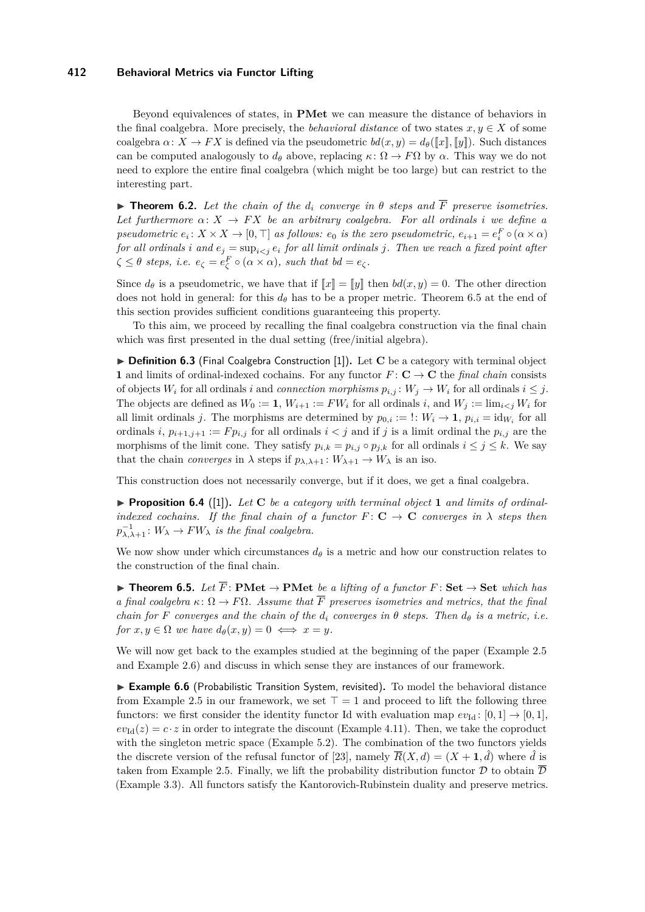Beyond equivalences of states, in **PMet** we can measure the distance of behaviors in the final coalgebra. More precisely, the *behavioral distance* of two states  $x, y \in X$  of some coalgebra  $\alpha: X \to FX$  is defined via the pseudometric  $bd(x, y) = d_\theta(\llbracket x \rrbracket, \llbracket y \rrbracket)$ . Such distances can be computed analogously to  $d_{\theta}$  above, replacing  $\kappa \colon \Omega \to F\Omega$  by  $\alpha$ . This way we do not need to explore the entire final coalgebra (which might be too large) but can restrict to the interesting part.

<span id="page-9-1"></span>**Theorem 6.2.** Let the chain of the  $d_i$  converge in  $\theta$  steps and  $\overline{F}$  preserve isometries. Let furthermore  $\alpha: X \to FX$  be an arbitrary coalgebra. For all ordinals *i* we define a *pseudometric*  $e_i: X \times X \to [0, \top]$  *as follows:*  $e_0$  *is the zero pseudometric,*  $e_{i+1} = e_i^F \circ (\alpha \times \alpha)$ *for all ordinals i* and  $e_j = \sup_{i \leq j} e_i$  *for all limit ordinals j. Then we reach a fixed point after*  $\zeta \leq \theta$  *steps, i.e.*  $e_{\zeta} = e_{\zeta}^F \circ (\alpha \times \alpha)$ *, such that*  $bd = e_{\zeta}$ *.* 

Since  $d_{\theta}$  is a pseudometric, we have that if  $\llbracket x \rrbracket = \llbracket y \rrbracket$  then  $bd(x, y) = 0$ . The other direction does not hold in general: for this  $d_{\theta}$  has to be a proper metric. [Theorem 6.5](#page-9-0) at the end of this section provides sufficient conditions guaranteeing this property.

To this aim, we proceed by recalling the final coalgebra construction via the final chain which was first presented in the dual setting (free/initial algebra).

▶ **Definition 6.3** (Final Coalgebra Construction [\[1\]](#page-11-8)). Let **C** be a category with terminal object **1** and limits of ordinal-indexed cochains. For any functor  $F: \mathbf{C} \to \mathbf{C}$  the *final chain* consists of objects  $W_i$  for all ordinals *i* and *connection morphisms*  $p_{i,j}: W_j \to W_i$  for all ordinals  $i \leq j$ . The objects are defined as  $W_0 := 1$ ,  $W_{i+1} := FW_i$  for all ordinals *i*, and  $W_j := \lim_{i \le j} W_i$  for all limit ordinals *j*. The morphisms are determined by  $p_{0,i} := \dots W_i \to \mathbf{1}, p_{i,i} = id_{W_i}$  for all ordinals *i*,  $p_{i+1,j+1} := F p_{i,j}$  for all ordinals  $i < j$  and if *j* is a limit ordinal the  $p_{i,j}$  are the morphisms of the limit cone. They satisfy  $p_{i,k} = p_{i,j} \circ p_{j,k}$  for all ordinals  $i \leq j \leq k$ . We say that the chain *converges* in  $\lambda$  steps if  $p_{\lambda,\lambda+1}: W_{\lambda+1} \to W_{\lambda}$  is an iso.

This construction does not necessarily converge, but if it does, we get a final coalgebra.

▶ **Proposition 6.4** ([\[1\]](#page-11-8)). Let **C** be a category with terminal object 1 and limits of ordinal*indexed cochains. If the final chain of a functor*  $F: \mathbf{C} \to \mathbf{C}$  *converges in*  $\lambda$  *steps then*  $p_{\lambda,\lambda+1}^{-1}: W_{\lambda} \to FW_{\lambda}$  *is the final coalgebra.* 

We now show under which circumstances  $d_{\theta}$  is a metric and how our construction relates to the construction of the final chain.

<span id="page-9-0"></span>**► Theorem 6.5.** Let  $\overline{F}$ : **PMet**  $\rightarrow$  **PMet** *be a lifting of a functor*  $F$ : **Set**  $\rightarrow$  **Set** *which has a final coalgebra*  $\kappa : \Omega \to F\Omega$ *. Assume that*  $\overline{F}$  *preserves isometries and metrics, that the final chain for F converges and the chain of the*  $d_i$  *converges in*  $\theta$  *steps. Then*  $d_{\theta}$  *is a metric, i.e. for*  $x, y \in \Omega$  *we have*  $d_{\theta}(x, y) = 0 \iff x = y$ *.* 

We will now get back to the examples studied at the beginning of the paper [\(Example 2.5](#page-3-1) and [Example 2.6\)](#page-3-2) and discuss in which sense they are instances of our framework.

► Example 6.6 (Probabilistic Transition System, revisited). To model the behavioral distance from [Example 2.5](#page-3-1) in our framework, we set  $\top = 1$  and proceed to lift the following three functors: we first consider the identity functor Id with evaluation map  $ev_{Id}$ : [0, 1]  $\rightarrow$  [0, 1],  $ev_{\text{Id}}(z) = c \cdot z$  in order to integrate the discount [\(Example 4.11\)](#page-7-1). Then, we take the coproduct with the singleton metric space [\(Example 5.2\)](#page-8-1). The combination of the two functors yields the discrete version of the refusal functor of [\[23\]](#page-12-0), namely  $\overline{R}(X, d) = (X + 1, \hat{d})$  where  $\hat{d}$  is taken from [Example 2.5.](#page-3-1) Finally, we lift the probability distribution functor  $\mathcal D$  to obtain  $\overline{\mathcal D}$ [\(Example 3.3\)](#page-5-0). All functors satisfy the Kantorovich-Rubinstein duality and preserve metrics.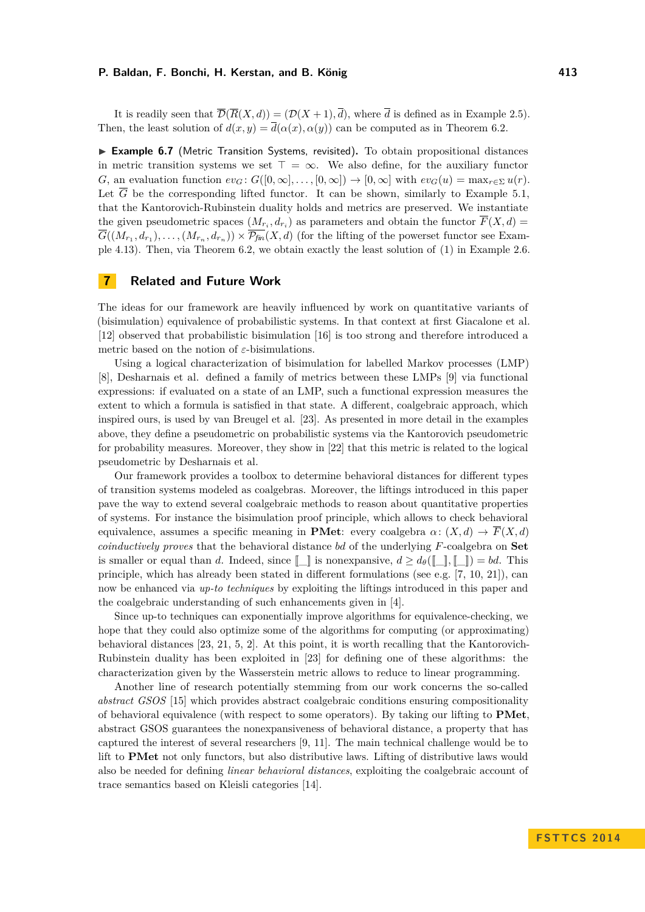It is readily seen that  $\overline{\mathcal{D}}(\overline{R}(X,d)) = (\mathcal{D}(X+1), \overline{d})$ , where  $\overline{d}$  is defined as in [Example 2.5\)](#page-3-1). Then, the least solution of  $d(x, y) = \overline{d}(\alpha(x), \alpha(y))$  can be computed as in [Theorem 6.2.](#page-9-1)

<span id="page-10-0"></span>▶ Example 6.7 (Metric Transition Systems, revisited). To obtain propositional distances in metric transition systems we set  $\top = \infty$ . We also define, for the auxiliary functor *G*, an evaluation function  $ev_G$ :  $G([0,\infty],\ldots,[0,\infty]) \to [0,\infty]$  with  $ev_G(u) = \max_{r\in\Sigma} u(r)$ . Let  $\overline{G}$  be the corresponding lifted functor. It can be shown, similarly to [Example 5.1,](#page-8-0) that the Kantorovich-Rubinstein duality holds and metrics are preserved. We instantiate the given pseudometric spaces  $(M_{r_i}, d_{r_i})$  as parameters and obtain the functor  $F(X, d) =$  $G((M_{r_1}, d_{r_1}), \ldots, (M_{r_n}, d_{r_n})) \times \mathcal{P}_{fin}(X, d)$  (for the lifting of the powerset functor see [Exam](#page-7-2)[ple 4.13\)](#page-7-2). Then, via [Theorem 6.2,](#page-9-1) we obtain exactly the least solution of [\(1\)](#page-3-0) in [Example 2.6.](#page-3-2)

### **7 Related and Future Work**

The ideas for our framework are heavily influenced by work on quantitative variants of (bisimulation) equivalence of probabilistic systems. In that context at first Giacalone et al. [\[12\]](#page-11-9) observed that probabilistic bisimulation [\[16\]](#page-11-10) is too strong and therefore introduced a metric based on the notion of  $\varepsilon$ -bisimulations.

Using a logical characterization of bisimulation for labelled Markov processes (LMP) [\[8\]](#page-11-11), Desharnais et al. defined a family of metrics between these LMPs [\[9\]](#page-11-0) via functional expressions: if evaluated on a state of an LMP, such a functional expression measures the extent to which a formula is satisfied in that state. A different, coalgebraic approach, which inspired ours, is used by van Breugel et al. [\[23\]](#page-12-0). As presented in more detail in the examples above, they define a pseudometric on probabilistic systems via the Kantorovich pseudometric for probability measures. Moreover, they show in [\[22\]](#page-12-3) that this metric is related to the logical pseudometric by Desharnais et al.

Our framework provides a toolbox to determine behavioral distances for different types of transition systems modeled as coalgebras. Moreover, the liftings introduced in this paper pave the way to extend several coalgebraic methods to reason about quantitative properties of systems. For instance the bisimulation proof principle, which allows to check behavioral equivalence, assumes a specific meaning in **PMet**: every coalgebra  $\alpha: (X, d) \to \overline{F}(X, d)$ *coinductively proves* that the behavioral distance *bd* of the underlying *F*-coalgebra on **Set** is smaller or equal than *d*. Indeed, since  $[\![\ ]\!]$  is nonexpansive,  $d \geq d_\theta([\![\ ]\!], [\![\ ]\!]) = bd$ . This principle, which has already been stated in different formulations (see e.g.  $[7, 10, 21]$  $[7, 10, 21]$  $[7, 10, 21]$  $[7, 10, 21]$  $[7, 10, 21]$ ), can now be enhanced via *up-to techniques* by exploiting the liftings introduced in this paper and the coalgebraic understanding of such enhancements given in [\[4\]](#page-11-14).

Since up-to techniques can exponentially improve algorithms for equivalence-checking, we hope that they could also optimize some of the algorithms for computing (or approximating) behavioral distances [\[23,](#page-12-0) [21,](#page-12-4) [5,](#page-11-15) [2\]](#page-11-16). At this point, it is worth recalling that the Kantorovich-Rubinstein duality has been exploited in [\[23\]](#page-12-0) for defining one of these algorithms: the characterization given by the Wasserstein metric allows to reduce to linear programming.

Another line of research potentially stemming from our work concerns the so-called *abstract GSOS* [\[15\]](#page-11-17) which provides abstract coalgebraic conditions ensuring compositionality of behavioral equivalence (with respect to some operators). By taking our lifting to **PMet**, abstract GSOS guarantees the nonexpansiveness of behavioral distance, a property that has captured the interest of several researchers [\[9,](#page-11-0) [11\]](#page-11-18). The main technical challenge would be to lift to **PMet** not only functors, but also distributive laws. Lifting of distributive laws would also be needed for defining *linear behavioral distances*, exploiting the coalgebraic account of trace semantics based on Kleisli categories [\[14\]](#page-11-19).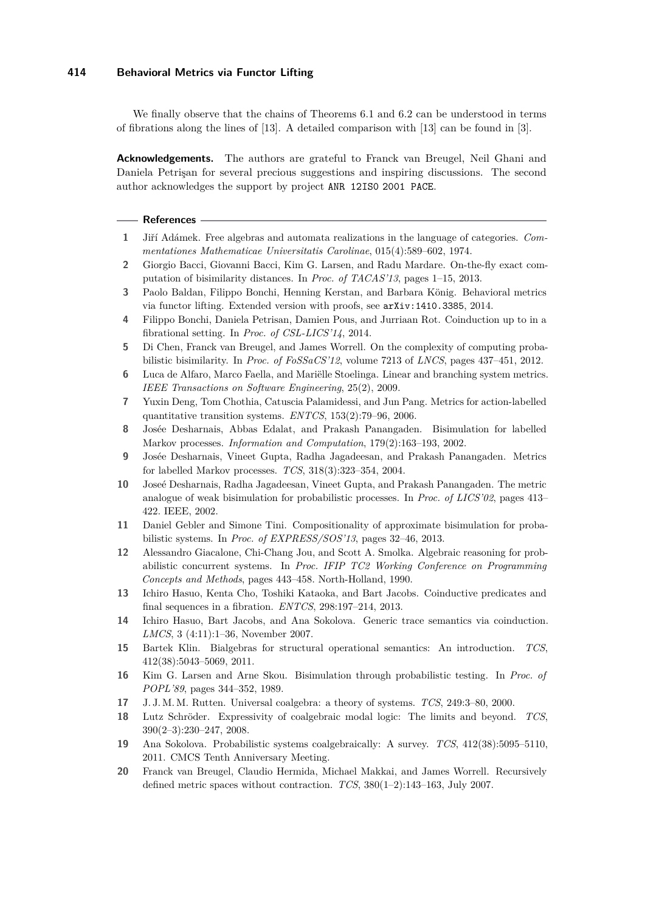We finally observe that the chains of Theorems [6.1](#page-8-2) and [6.2](#page-9-1) can be understood in terms of fibrations along the lines of [\[13\]](#page-11-4). A detailed comparison with [\[13\]](#page-11-4) can be found in [\[3\]](#page-11-3).

**Acknowledgements.** The authors are grateful to Franck van Breugel, Neil Ghani and Daniela Petrişan for several precious suggestions and inspiring discussions. The second author acknowledges the support by project ANR 12IS0 2001 PACE.

#### **References**

- <span id="page-11-8"></span>**1** Jiří Adámek. Free algebras and automata realizations in the language of categories. *Commentationes Mathematicae Universitatis Carolinae*, 015(4):589–602, 1974.
- <span id="page-11-16"></span>**2** Giorgio Bacci, Giovanni Bacci, Kim G. Larsen, and Radu Mardare. On-the-fly exact computation of bisimilarity distances. In *Proc. of TACAS'13*, pages 1–15, 2013.
- <span id="page-11-3"></span>**3** Paolo Baldan, Filippo Bonchi, Henning Kerstan, and Barbara König. Behavioral metrics via functor lifting. Extended version with proofs, see [arXiv:1410.3385](http://arxiv.org/abs/1410.3385), 2014.
- <span id="page-11-14"></span>**4** Filippo Bonchi, Daniela Petrisan, Damien Pous, and Jurriaan Rot. Coinduction up to in a fibrational setting. In *Proc. of CSL-LICS'14*, 2014.
- <span id="page-11-15"></span>**5** Di Chen, Franck van Breugel, and James Worrell. On the complexity of computing probabilistic bisimilarity. In *Proc. of FoSSaCS'12*, volume 7213 of *LNCS*, pages 437–451, 2012.
- <span id="page-11-1"></span>**6** Luca de Alfaro, Marco Faella, and Mariëlle Stoelinga. Linear and branching system metrics. *IEEE Transactions on Software Engineering*, 25(2), 2009.
- <span id="page-11-12"></span>**7** Yuxin Deng, Tom Chothia, Catuscia Palamidessi, and Jun Pang. Metrics for action-labelled quantitative transition systems. *ENTCS*, 153(2):79–96, 2006.
- <span id="page-11-11"></span>**8** Josée Desharnais, Abbas Edalat, and Prakash Panangaden. Bisimulation for labelled Markov processes. *Information and Computation*, 179(2):163–193, 2002.
- <span id="page-11-0"></span>**9** Josée Desharnais, Vineet Gupta, Radha Jagadeesan, and Prakash Panangaden. Metrics for labelled Markov processes. *TCS*, 318(3):323–354, 2004.
- <span id="page-11-13"></span>**10** Joseé Desharnais, Radha Jagadeesan, Vineet Gupta, and Prakash Panangaden. The metric analogue of weak bisimulation for probabilistic processes. In *Proc. of LICS'02*, pages 413– 422. IEEE, 2002.
- <span id="page-11-18"></span>**11** Daniel Gebler and Simone Tini. Compositionality of approximate bisimulation for probabilistic systems. In *Proc. of EXPRESS/SOS'13*, pages 32–46, 2013.
- <span id="page-11-9"></span>**12** Alessandro Giacalone, Chi-Chang Jou, and Scott A. Smolka. Algebraic reasoning for probabilistic concurrent systems. In *Proc. IFIP TC2 Working Conference on Programming Concepts and Methods*, pages 443–458. North-Holland, 1990.
- <span id="page-11-4"></span>**13** Ichiro Hasuo, Kenta Cho, Toshiki Kataoka, and Bart Jacobs. Coinductive predicates and final sequences in a fibration. *ENTCS*, 298:197–214, 2013.
- <span id="page-11-19"></span>**14** Ichiro Hasuo, Bart Jacobs, and Ana Sokolova. Generic trace semantics via coinduction. *LMCS*, 3 (4:11):1–36, November 2007.
- <span id="page-11-17"></span>**15** Bartek Klin. Bialgebras for structural operational semantics: An introduction. *TCS*, 412(38):5043–5069, 2011.
- <span id="page-11-10"></span>**16** Kim G. Larsen and Arne Skou. Bisimulation through probabilistic testing. In *Proc. of POPL'89*, pages 344–352, 1989.
- <span id="page-11-2"></span>**17** J. J. M. M. Rutten. Universal coalgebra: a theory of systems. *TCS*, 249:3–80, 2000.
- <span id="page-11-5"></span>**18** Lutz Schröder. Expressivity of coalgebraic modal logic: The limits and beyond. *TCS*, 390(2–3):230–247, 2008.
- <span id="page-11-6"></span>**19** Ana Sokolova. Probabilistic systems coalgebraically: A survey. *TCS*, 412(38):5095–5110, 2011. CMCS Tenth Anniversary Meeting.
- <span id="page-11-7"></span>**20** Franck van Breugel, Claudio Hermida, Michael Makkai, and James Worrell. Recursively defined metric spaces without contraction. *TCS*, 380(1–2):143–163, July 2007.